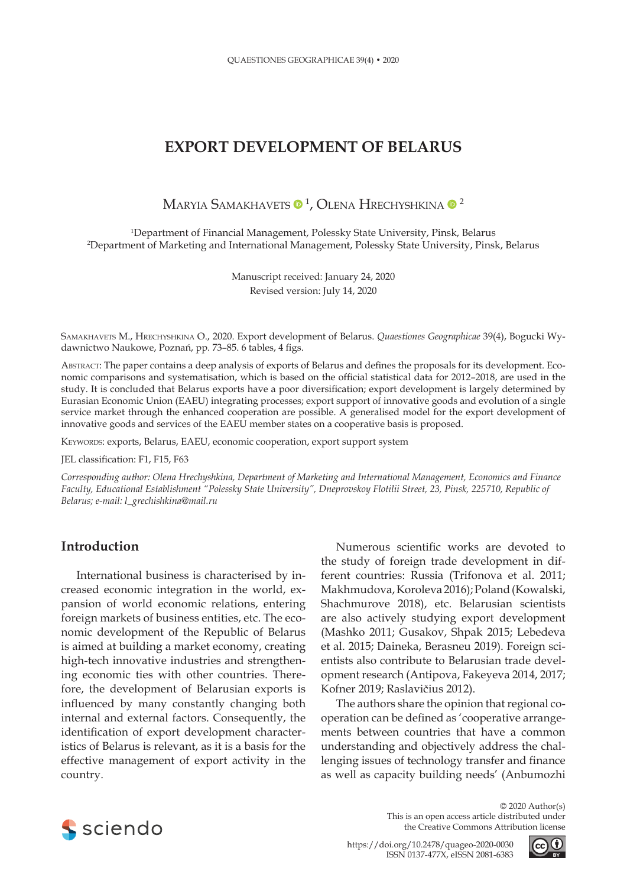# **EXPORT DEVELOPMENT OF BELARUS**

Maryia Samakhavets  $\mathbf{0}^{\, 1}$ , Olena Hrechyshkina  $\mathbf{0}^{\, 2}$ 

1 Department of Financial Management, Polessky State University, Pinsk, Belarus 2 Department of Marketing and International Management, Polessky State University, Pinsk, Belarus

> Manuscript received: January 24, 2020 Revised version: July 14, 2020

Samakhavets M., Hrechyshkina O., 2020. Export development of Belarus. *Quaestiones Geographicae* 39(4), Bogucki Wydawnictwo Naukowe, Poznań, pp. 73–85. 6 tables, 4 figs.

Abstract: The paper contains a deep analysis of exports of Belarus and defines the proposals for its development. Economic comparisons and systematisation, which is based on the official statistical data for 2012–2018, are used in the study. It is concluded that Belarus exports have a poor diversification; export development is largely determined by Eurasian Economic Union (EAEU) integrating processes; export support of innovative goods and evolution of a single service market through the enhanced cooperation are possible. A generalised model for the export development of innovative goods and services of the EAEU member states on a cooperative basis is proposed.

Keywords: exports, Belarus, EAEU, economic cooperation, export support system

JEL classification: F1, F15, F63

*Corresponding author: Olena Hrechyshkina, Department of Marketing and International Management, Economics and Finance Faculty, Educational Establishment "Polessky State University", Dneprovskoy Flotilii Street, 23, Pinsk, 225710, Republic of Belarus; e-mail: l\_grechishkina@mail.ru*

#### **Introduction**

International business is characterised by increased economic integration in the world, expansion of world economic relations, entering foreign markets of business entities, etc. The economic development of the Republic of Belarus is aimed at building a market economy, creating high-tech innovative industries and strengthening economic ties with other countries. Therefore, the development of Belarusian exports is influenced by many constantly changing both internal and external factors. Consequently, the identification of export development characteristics of Belarus is relevant, as it is a basis for the effective management of export activity in the country.

Numerous scientific works are devoted to the study of foreign trade development in different countries: Russia (Trifonova et al. 2011; Makhmudova, Koroleva 2016); Poland (Kowalski, Shachmurove 2018), etc. Belarusian scientists are also actively studying export development (Mashko 2011; Gusakov, Shpak 2015; Lebedeva et al. 2015; Daineka, Berasneu 2019). Foreign scientists also contribute to Belarusian trade development research (Antipova, Fakeyeva 2014, 2017; Kofner 2019; Raslavičius 2012).

The authors share the opinion that regional cooperation can be defined as 'cooperative arrangements between countries that have a common understanding and objectively address the challenging issues of technology transfer and finance as well as capacity building needs' (Anbumozhi



© 2020 Author(s) This is an open access article distributed under the Creative Commons Attribution license

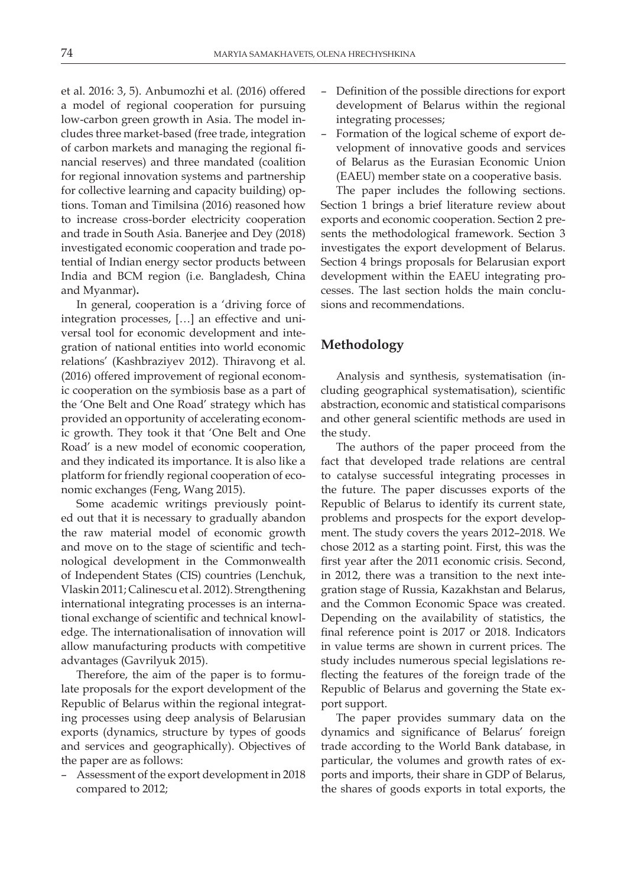et al. 2016: 3, 5). Anbumozhi et al. (2016) offered a model of regional cooperation for pursuing low-carbon green growth in Asia. The model includes three market-based (free trade, integration of carbon markets and managing the regional financial reserves) and three mandated (coalition for regional innovation systems and partnership for collective learning and capacity building) options. Toman and Timilsina (2016) reasoned how to increase cross-border electricity cooperation and trade in South Asia. Banerjee and Dey (2018) investigated economic cooperation and trade potential of Indian energy sector products between India and BCM region (i.e. Bangladesh, China and Myanmar)**.**

In general, cooperation is a 'driving force of integration processes, […] an effective and universal tool for economic development and integration of national entities into world economic relations' (Kashbraziyev 2012). Thiravong et al. (2016) offered improvement of regional economic cooperation on the symbiosis base as a part of the 'One Belt and One Road' strategy which has provided an opportunity of accelerating economic growth. They took it that 'One Belt and One Road' is a new model of economic cooperation, and they indicated its importance. It is also like a platform for friendly regional cooperation of economic exchanges (Feng, Wang 2015).

Some academic writings previously pointed out that it is necessary to gradually abandon the raw material model of economic growth and move on to the stage of scientific and technological development in the Commonwealth of Independent States (CIS) countries (Lenchuk, Vlaskin 2011; Calinescu et al. 2012). Strengthening international integrating processes is an international exchange of scientific and technical knowledge. The internationalisation of innovation will allow manufacturing products with competitive advantages (Gavrilyuk 2015).

Therefore, the aim of the paper is to formulate proposals for the export development of the Republic of Belarus within the regional integrating processes using deep analysis of Belarusian exports (dynamics, structure by types of goods and services and geographically). Objectives of the paper are as follows:

– Assessment of the export development in 2018 compared to 2012;

- Definition of the possible directions for export development of Belarus within the regional integrating processes;
- Formation of the logical scheme of export development of innovative goods and services of Belarus as the Eurasian Economic Union (EAEU) member state on a cooperative basis.

The paper includes the following sections. Section 1 brings a brief literature review about exports and economic cooperation. Section 2 presents the methodological framework. Section 3 investigates the export development of Belarus. Section 4 brings proposals for Belarusian export development within the EAEU integrating processes. The last section holds the main conclusions and recommendations.

### **Methodology**

Analysis and synthesis, systematisation (including geographical systematisation), scientific abstraction, economic and statistical comparisons and other general scientific methods are used in the study.

The authors of the paper proceed from the fact that developed trade relations are central to catalyse successful integrating processes in the future. The paper discusses exports of the Republic of Belarus to identify its current state, problems and prospects for the export development. The study covers the years 2012–2018. We chose 2012 as a starting point. First, this was the first year after the 2011 economic crisis. Second, in 2012, there was a transition to the next integration stage of Russia, Kazakhstan and Belarus, and the Common Economic Space was created. Depending on the availability of statistics, the final reference point is 2017 or 2018. Indicators in value terms are shown in current prices. The study includes numerous special legislations reflecting the features of the foreign trade of the Republic of Belarus and governing the State export support.

The paper provides summary data on the dynamics and significance of Belarus' foreign trade according to the World Bank database, in particular, the volumes and growth rates of exports and imports, their share in GDP of Belarus, the shares of goods exports in total exports, the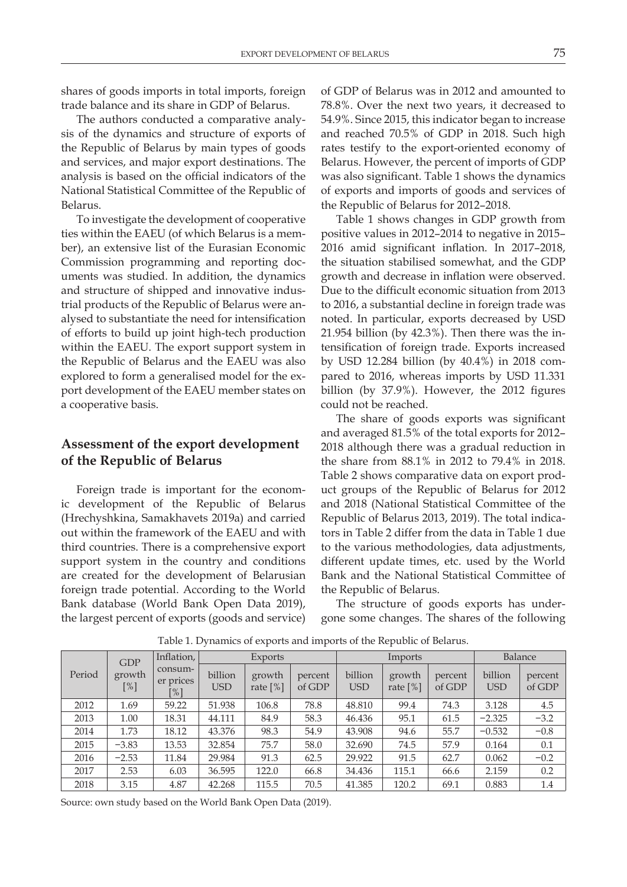shares of goods imports in total imports, foreign trade balance and its share in GDP of Belarus.

The authors conducted a comparative analysis of the dynamics and structure of exports of the Republic of Belarus by main types of goods and services, and major export destinations. The analysis is based on the official indicators of the National Statistical Committee of the Republic of Belarus.

To investigate the development of cooperative ties within the EAEU (of which Belarus is a member), an extensive list of the Eurasian Economic Commission programming and reporting documents was studied. In addition, the dynamics and structure of shipped and innovative industrial products of the Republic of Belarus were analysed to substantiate the need for intensification of efforts to build up joint high-tech production within the EAEU. The export support system in the Republic of Belarus and the EAEU was also explored to form a generalised model for the export development of the EAEU member states on a cooperative basis.

## **Assessment of the export development of the Republic of Belarus**

Foreign trade is important for the economic development of the Republic of Belarus (Hrechyshkina, Samakhavets 2019a) and carried out within the framework of the EAEU and with third countries. There is a comprehensive export support system in the country and conditions are created for the development of Belarusian foreign trade potential. According to the World Bank database (World Bank Open Data 2019), the largest percent of exports (goods and service)

of GDP of Belarus was in 2012 and amounted to 78.8%. Over the next two years, it decreased to 54.9%. Since 2015, this indicator began to increase and reached 70.5% of GDP in 2018. Such high rates testify to the export-oriented economy of Belarus. However, the percent of imports of GDP was also significant. Table 1 shows the dynamics of exports and imports of goods and services of the Republic of Belarus for 2012–2018.

Table 1 shows changes in GDP growth from positive values in 2012–2014 to negative in 2015– 2016 amid significant inflation. In 2017–2018, the situation stabilised somewhat, and the GDP growth and decrease in inflation were observed. Due to the difficult economic situation from 2013 to 2016, a substantial decline in foreign trade was noted. In particular, exports decreased by USD 21.954 billion (by 42.3%). Then there was the intensification of foreign trade. Exports increased by USD 12.284 billion (by 40.4%) in 2018 compared to 2016, whereas imports by USD 11.331 billion (by 37.9%). However, the 2012 figures could not be reached.

The share of goods exports was significant and averaged 81.5% of the total exports for 2012– 2018 although there was a gradual reduction in the share from 88.1% in 2012 to 79.4% in 2018. Table 2 shows comparative data on export product groups of the Republic of Belarus for 2012 and 2018 (National Statistical Committee of the Republic of Belarus 2013, 2019). The total indicators in Table 2 differ from the data in Table 1 due to the various methodologies, data adjustments, different update times, etc. used by the World Bank and the National Statistical Committee of the Republic of Belarus.

The structure of goods exports has undergone some changes. The shares of the following

|        | <b>GDP</b><br>growth<br>$[\%]$ | Inflation,                  | Exports               |                      | Imports           |                       |                       | Balance           |                       |                   |
|--------|--------------------------------|-----------------------------|-----------------------|----------------------|-------------------|-----------------------|-----------------------|-------------------|-----------------------|-------------------|
| Period |                                | consum-<br>er prices<br>[%] | billion<br><b>USD</b> | growth<br>rate $[%]$ | percent<br>of GDP | billion<br><b>USD</b> | growth<br>rate $[\%]$ | percent<br>of GDP | billion<br><b>USD</b> | percent<br>of GDP |
| 2012   | 1.69                           | 59.22                       | 51.938                | 106.8                | 78.8              | 48.810                | 99.4                  | 74.3              | 3.128                 | 4.5               |
| 2013   | 1.00                           | 18.31                       | 44.111                | 84.9                 | 58.3              | 46.436                | 95.1                  | 61.5              | $-2.325$              | $-3.2$            |
| 2014   | 1.73                           | 18.12                       | 43.376                | 98.3                 | 54.9              | 43.908                | 94.6                  | 55.7              | $-0.532$              | $-0.8$            |
| 2015   | $-3.83$                        | 13.53                       | 32.854                | 75.7                 | 58.0              | 32.690                | 74.5                  | 57.9              | 0.164                 | 0.1               |
| 2016   | $-2.53$                        | 11.84                       | 29.984                | 91.3                 | 62.5              | 29.922                | 91.5                  | 62.7              | 0.062                 | $-0.2$            |
| 2017   | 2.53                           | 6.03                        | 36.595                | 122.0                | 66.8              | 34.436                | 115.1                 | 66.6              | 2.159                 | 0.2               |
| 2018   | 3.15                           | 4.87                        | 42.268                | 115.5                | 70.5              | 41.385                | 120.2                 | 69.1              | 0.883                 | 1.4               |

Table 1. Dynamics of exports and imports of the Republic of Belarus.

Source: own study based on the World Bank Open Data (2019).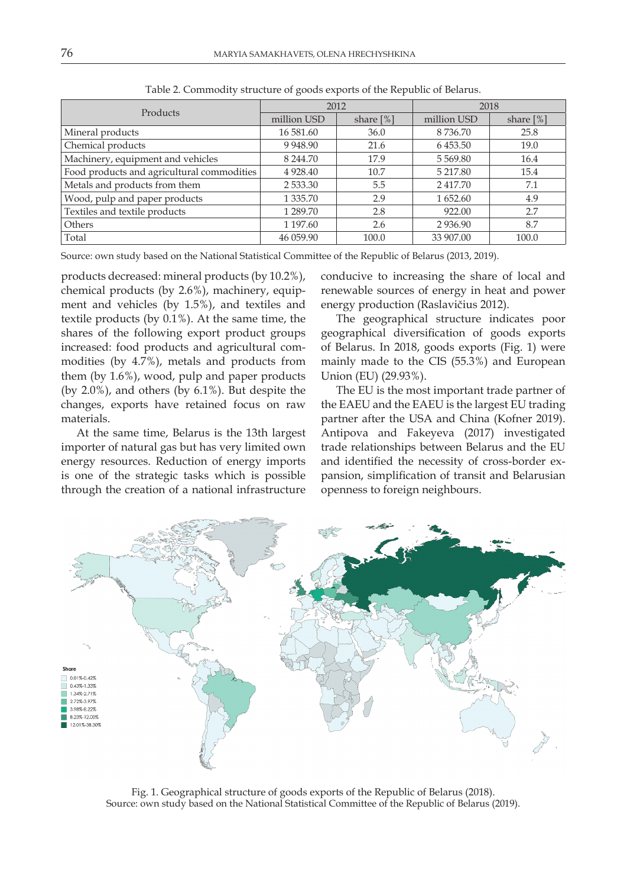| Products                                   |             | 2012        | 2018          |           |  |
|--------------------------------------------|-------------|-------------|---------------|-----------|--|
|                                            | million USD | share $[%]$ | million USD   | share [%] |  |
| Mineral products                           | 16 581.60   | 36.0        | 8736.70       | 25.8      |  |
| Chemical products                          | 9 9 48.90   | 21.6        | 6453.50       | 19.0      |  |
| Machinery, equipment and vehicles          | 8 2 4 4 .70 | 17.9        | 5 5 6 9 .8 0  | 16.4      |  |
| Food products and agricultural commodities | 4 9 28.40   | 10.7        | 5 217.80      | 15.4      |  |
| Metals and products from them              | 2 533.30    | 5.5         | 2417.70       | 7.1       |  |
| Wood, pulp and paper products              | 1 3 3 5 .70 | 2.9         | 1 652.60      | 4.9       |  |
| Textiles and textile products              | 1 289.70    | 2.8         | 922.00        | 2.7       |  |
| Others                                     | 1 1 9 7 .60 | 2.6         | 2 9 3 6 . 9 0 | 8.7       |  |
| Total                                      | 46 059.90   | 100.0       | 33 907.00     | 100.0     |  |

Table 2. Commodity structure of goods exports of the Republic of Belarus.

Source: own study based on the National Statistical Committee of the Republic of Belarus (2013, 2019).

products decreased: mineral products (by 10.2%), chemical products (by 2.6%), machinery, equipment and vehicles (by 1.5%), and textiles and textile products (by 0.1%). At the same time, the shares of the following export product groups increased: food products and agricultural commodities (by 4.7%), metals and products from them (by 1.6%), wood, pulp and paper products (by 2.0%), and others (by 6.1%). But despite the changes, exports have retained focus on raw materials.

At the same time, Belarus is the 13th largest importer of natural gas but has very limited own energy resources. Reduction of energy imports is one of the strategic tasks which is possible through the creation of a national infrastructure conducive to increasing the share of local and renewable sources of energy in heat and power energy production (Raslavičius 2012).

The geographical structure indicates poor geographical diversification of goods exports of Belarus. In 2018, goods exports (Fig. 1) were mainly made to the CIS (55.3%) and European Union (EU) (29.93%).

The EU is the most important trade partner of the EAEU and the EAEU is the largest EU trading partner after the USA and China (Kofner 2019). Antipova and Fakeyeva (2017) investigated trade relationships between Belarus and the EU and identified the necessity of cross-border expansion, simplification of transit and Belarusian openness to foreign neighbours.



Fig. 1. Geographical structure of goods exports of the Republic of Belarus (2018). Source: own study based on the National Statistical Committee of the Republic of Belarus (2019).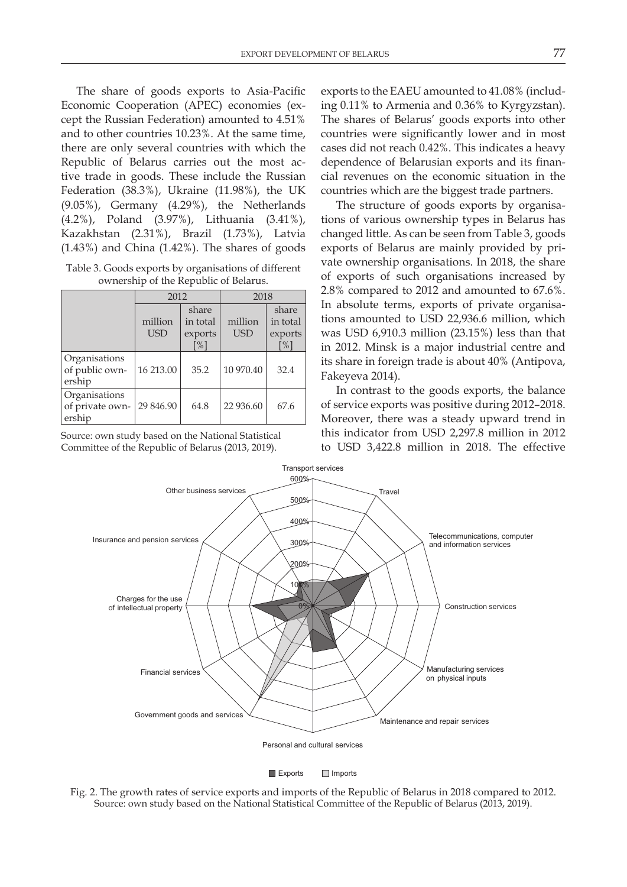The share of goods exports to Asia-Pacific Economic Cooperation (APEC) economies (except the Russian Federation) amounted to 4.51% and to other countries 10.23%. At the same time, there are only several countries with which the Republic of Belarus carries out the most active trade in goods. These include the Russian Federation (38.3%), Ukraine (11.98%), the UK (9.05%), Germany (4.29%), the Netherlands (4.2%), Poland (3.97%), Lithuania (3.41%), Kazakhstan (2.31%), Brazil (1.73%), Latvia (1.43%) and China (1.42%). The shares of goods

Table 3. Goods exports by organisations of different ownership of the Republic of Belarus.

|                                            | 2012                  |                                                   | 2018                  |                                                    |  |
|--------------------------------------------|-----------------------|---------------------------------------------------|-----------------------|----------------------------------------------------|--|
|                                            | million<br><b>USD</b> | share<br>in total<br>exports<br>$\lceil\% \rceil$ | million<br><b>USD</b> | share<br>in total<br>exports<br>$\lceil \% \rceil$ |  |
| Organisations<br>of public own-<br>ership  | 16 213.00             | 35.2                                              | 10 970.40             | 32.4                                               |  |
| Organisations<br>of private own-<br>ership | 29 846.90             | 64.8                                              | 22 936.60             | 67.6                                               |  |

Source: own study based on the National Statistical Committee of the Republic of Belarus (2013, 2019).

exports to the EAEU amounted to 41.08% (including 0.11% to Armenia and 0.36% to Kyrgyzstan). The shares of Belarus' goods exports into other countries were significantly lower and in most cases did not reach 0.42%. This indicates a heavy dependence of Belarusian exports and its financial revenues on the economic situation in the countries which are the biggest trade partners.

The structure of goods exports by organisations of various ownership types in Belarus has changed little. As can be seen from Table 3, goods exports of Belarus are mainly provided by private ownership organisations. In 2018, the share of exports of such organisations increased by 2.8% compared to 2012 and amounted to 67.6%. In absolute terms, exports of private organisations amounted to USD 22,936.6 million, which was USD 6,910.3 million (23.15%) less than that in 2012. Minsk is a major industrial centre and its share in foreign trade is about 40% (Antipova, Fakeyeva 2014).

In contrast to the goods exports, the balance of service exports was positive during 2012–2018. Moreover, there was a steady upward trend in this indicator from USD 2,297.8 million in 2012 to USD 3,422.8 million in 2018. The effective



Fig. 2. The growth rates of service exports and imports of the Republic of Belarus in 2018 compared to 2012. Source: own study based on the National Statistical Committee of the Republic of Belarus (2013, 2019).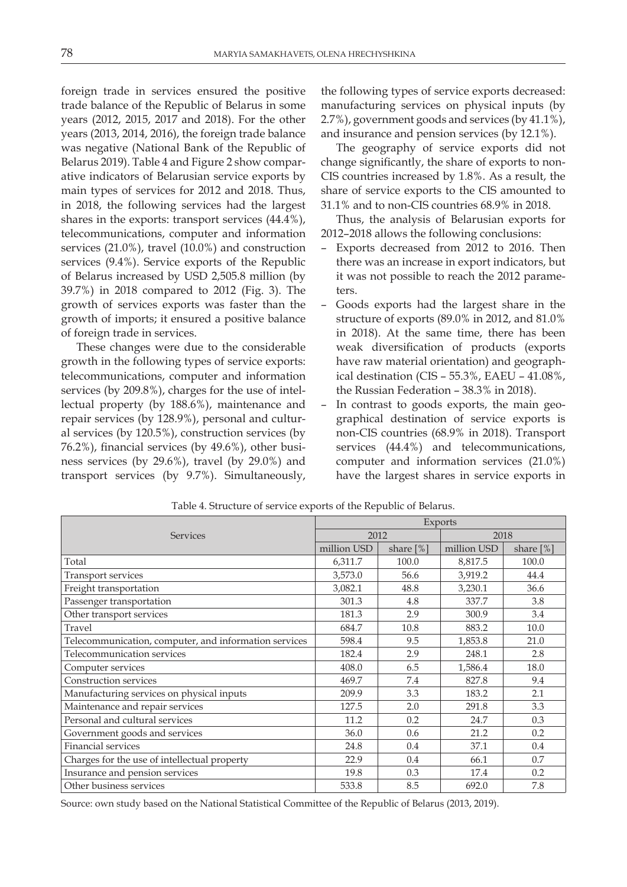foreign trade in services ensured the positive trade balance of the Republic of Belarus in some years (2012, 2015, 2017 and 2018). For the other years (2013, 2014, 2016), the foreign trade balance was negative (National Bank of the Republic of Belarus 2019). Table 4 and Figure 2 show comparative indicators of Belarusian service exports by main types of services for 2012 and 2018. Thus, in 2018, the following services had the largest shares in the exports: transport services (44.4%), telecommunications, computer and information services (21.0%), travel (10.0%) and construction services (9.4%). Service exports of the Republic of Belarus increased by USD 2,505.8 million (by 39.7%) in 2018 compared to 2012 (Fig. 3). The growth of services exports was faster than the growth of imports; it ensured a positive balance of foreign trade in services.

These changes were due to the considerable growth in the following types of service exports: telecommunications, computer and information services (by 209.8%), charges for the use of intellectual property (by 188.6%), maintenance and repair services (by 128.9%), personal and cultural services (by 120.5%), construction services (by 76.2%), financial services (by 49.6%), other business services (by 29.6%), travel (by 29.0%) and transport services (by 9.7%). Simultaneously,

the following types of service exports decreased: manufacturing services on physical inputs (by 2.7%), government goods and services (by 41.1%), and insurance and pension services (by 12.1%).

The geography of service exports did not change significantly, the share of exports to non-CIS countries increased by 1.8%. As a result, the share of service exports to the CIS amounted to 31.1% and to non-CIS countries 68.9% in 2018.

Thus, the analysis of Belarusian exports for 2012–2018 allows the following conclusions:

- Exports decreased from 2012 to 2016. Then there was an increase in export indicators, but it was not possible to reach the 2012 parameters.
- Goods exports had the largest share in the structure of exports (89.0% in 2012, and 81.0% in 2018). At the same time, there has been weak diversification of products (exports have raw material orientation) and geographical destination (CIS – 55.3%, EAEU – 41.08%, the Russian Federation – 38.3% in 2018).
- In contrast to goods exports, the main geographical destination of service exports is non-CIS countries (68.9% in 2018). Transport services (44.4%) and telecommunications, computer and information services (21.0%) have the largest shares in service exports in

|                                                       | Exports     |           |             |           |  |  |
|-------------------------------------------------------|-------------|-----------|-------------|-----------|--|--|
| <b>Services</b>                                       | 2012        |           | 2018        |           |  |  |
|                                                       | million USD | share [%] | million USD | share [%] |  |  |
| Total                                                 | 6,311.7     | 100.0     | 8,817.5     | 100.0     |  |  |
| Transport services                                    | 3,573.0     | 56.6      | 3,919.2     | 44.4      |  |  |
| Freight transportation                                | 3,082.1     | 48.8      | 3,230.1     | 36.6      |  |  |
| Passenger transportation                              | 301.3       | 4.8       | 337.7       | 3.8       |  |  |
| Other transport services                              | 181.3       | 2.9       | 300.9       | 3.4       |  |  |
| Travel                                                | 684.7       | 10.8      | 883.2       | 10.0      |  |  |
| Telecommunication, computer, and information services | 598.4       | 9.5       | 1,853.8     | 21.0      |  |  |
| Telecommunication services                            | 182.4       | 2.9       | 248.1       | 2.8       |  |  |
| Computer services                                     | 408.0       | 6.5       | 1,586.4     | 18.0      |  |  |
| <b>Construction services</b>                          | 469.7       | 7.4       | 827.8       | 9.4       |  |  |
| Manufacturing services on physical inputs             | 209.9       | 3.3       | 183.2       | 2.1       |  |  |
| Maintenance and repair services                       | 127.5       | 2.0       | 291.8       | 3.3       |  |  |
| Personal and cultural services                        | 11.2        | 0.2       | 24.7        | 0.3       |  |  |
| Government goods and services                         | 36.0        | 0.6       | 21.2        | 0.2       |  |  |
| Financial services                                    | 24.8        | 0.4       | 37.1        | 0.4       |  |  |
| Charges for the use of intellectual property          | 22.9        | 0.4       | 66.1        | 0.7       |  |  |
| Insurance and pension services                        | 19.8        | 0.3       | 17.4        | 0.2       |  |  |
| Other business services                               | 533.8       | 8.5       | 692.0       | 7.8       |  |  |

Table 4. Structure of service exports of the Republic of Belarus.

Source: own study based on the National Statistical Committee of the Republic of Belarus (2013, 2019).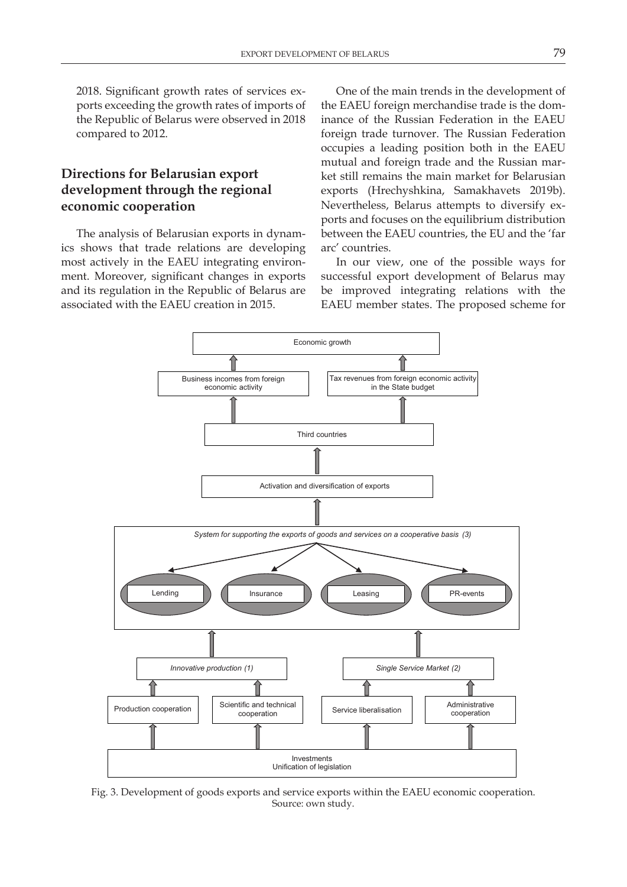2018. Significant growth rates of services exports exceeding the growth rates of imports of the Republic of Belarus were observed in 2018 compared to 2012.

## **Directions for Belarusian export development through the regional economic cooperation**

The analysis of Belarusian exports in dynamics shows that trade relations are developing most actively in the EAEU integrating environment. Moreover, significant changes in exports and its regulation in the Republic of Belarus are associated with the EAEU creation in 2015.

One of the main trends in the development of the EAEU foreign merchandise trade is the dominance of the Russian Federation in the EAEU foreign trade turnover. The Russian Federation occupies a leading position both in the EAEU mutual and foreign trade and the Russian market still remains the main market for Belarusian exports (Hrechyshkina, Samakhavets 2019b). Nevertheless, Belarus attempts to diversify exports and focuses on the equilibrium distribution between the EAEU countries, the EU and the 'far arc' countries.

In our view, one of the possible ways for successful export development of Belarus may be improved integrating relations with the EAEU member states. The proposed scheme for



Fig. 3. Development of goods exports and service exports within the EAEU economic cooperation. Source: own study.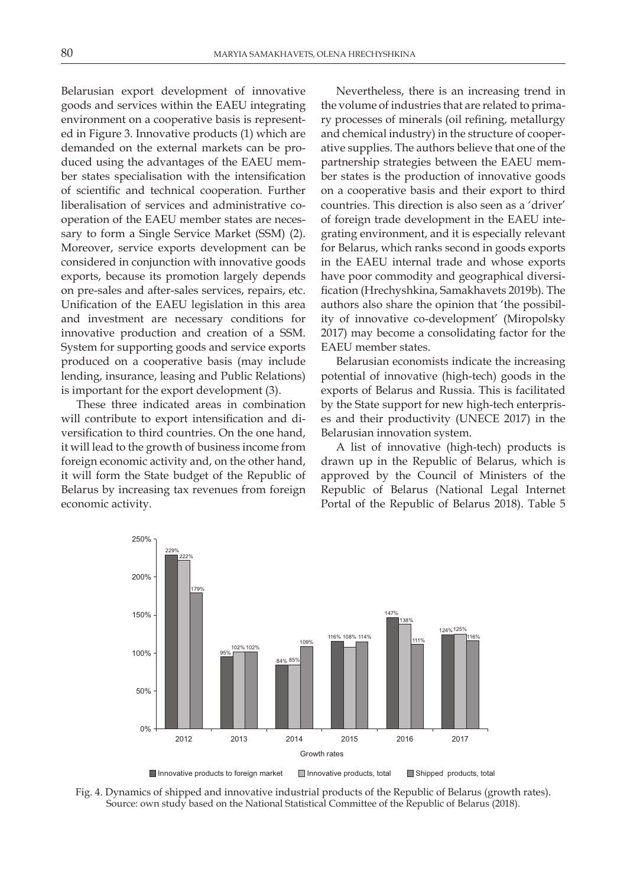Belarusian export development of innovative goods and services within the EAEU integrating environment on a cooperative basis is represented in Figure 3. Innovative products (1) which are demanded on the external markets can be produced using the advantages of the EAEU member states specialisation with the intensification of scientific and technical cooperation. Further liberalisation of services and administrative cooperation of the EAEU member states are necessary to form a Single Service Market (SSM) (2). Moreover, service exports development can be considered in conjunction with innovative goods exports, because its promotion largely depends on pre-sales and after-sales services, repairs, etc. Unification of the EAEU legislation in this area and investment are necessary conditions for innovative production and creation of a SSM. System for supporting goods and service exports produced on a cooperative basis (may include lending, insurance, leasing and Public Relations) is important for the export development (3).

These three indicated areas in combination will contribute to export intensification and diversification to third countries. On the one hand, it will lead to the growth of business income from foreign economic activity and, on the other hand, it will form the State budget of the Republic of Belarus by increasing tax revenues from foreign economic activity.

Nevertheless, there is an increasing trend in the volume of industries that are related to primary processes of minerals (oil refining, metallurgy and chemical industry) in the structure of cooperative supplies. The authors believe that one of the partnership strategies between the EAEU member states is the production of innovative goods on a cooperative basis and their export to third countries. This direction is also seen as a 'driver' of foreign trade development in the EAEU integrating environment, and it is especially relevant for Belarus, which ranks second in goods exports in the EAEU internal trade and whose exports have poor commodity and geographical diversification (Hrechyshkina, Samakhavets 2019b). The authors also share the opinion that 'the possibility of innovative co-development' (Miropolsky 2017) may become a consolidating factor for the EAEU member states.

Belarusian economists indicate the increasing potential of innovative (high-tech) goods in the exports of Belarus and Russia. This is facilitated by the State support for new high-tech enterprises and their productivity (UNECE 2017) in the Belarusian innovation system.

A list of innovative (high-tech) products is drawn up in the Republic of Belarus, which is approved by the Council of Ministers of the Republic of Belarus (National Legal Internet Portal of the Republic of Belarus 2018). Table 5



Fig. 4. Dynamics of shipped and innovative industrial products of the Republic of Belarus (growth rates). Source: own study based on the National Statistical Committee of the Republic of Belarus (2018).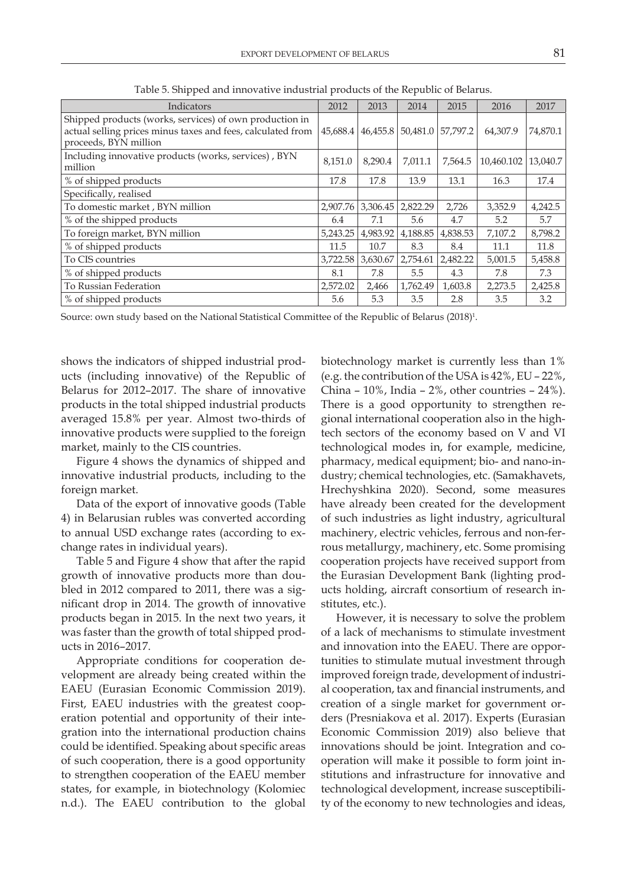| Indicators                                                                                                                                      | 2012 | 2013                 | 2014     | 2015     | 2016       | 2017     |
|-------------------------------------------------------------------------------------------------------------------------------------------------|------|----------------------|----------|----------|------------|----------|
| Shipped products (works, services) of own production in<br>actual selling prices minus taxes and fees, calculated from<br>proceeds, BYN million |      | 46,455.8<br>45,688.4 | 50,481.0 | 57,797.2 | 64,307.9   | 74,870.1 |
| Including innovative products (works, services), BYN<br>million                                                                                 |      | 8,290.4              | 7,011.1  | 7,564.5  | 10,460.102 | 13,040.7 |
| % of shipped products                                                                                                                           |      | 17.8                 | 13.9     | 13.1     | 16.3       | 17.4     |
| Specifically, realised                                                                                                                          |      |                      |          |          |            |          |
| To domestic market, BYN million                                                                                                                 |      | 2,907.76<br>3,306.45 | 2,822.29 | 2,726    | 3,352.9    | 4,242.5  |
| % of the shipped products                                                                                                                       |      | 7.1                  | 5.6      | 4.7      | 5.2        | 5.7      |
| To foreign market, BYN million                                                                                                                  |      | 5,243.25<br>4,983.92 | 4,188.85 | 4,838.53 | 7,107.2    | 8,798.2  |
| % of shipped products                                                                                                                           | 11.5 | 10.7                 | 8.3      | 8.4      | 11.1       | 11.8     |
| To CIS countries                                                                                                                                |      | 3,722.58<br>3,630.67 | 2,754.61 | 2,482.22 | 5,001.5    | 5,458.8  |
| % of shipped products                                                                                                                           |      | 7.8                  | 5.5      | 4.3      | 7.8        | 7.3      |
| To Russian Federation                                                                                                                           |      | 2,466                | 1,762.49 | 1,603.8  | 2,273.5    | 2,425.8  |
| % of shipped products                                                                                                                           |      | 5.3                  | 3.5      | 2.8      | 3.5        | 3.2      |

Table 5. Shipped and innovative industrial products of the Republic of Belarus.

Source: own study based on the National Statistical Committee of the Republic of Belarus (2018) $^{\rm l}$ .

shows the indicators of shipped industrial products (including innovative) of the Republic of Belarus for 2012–2017. The share of innovative products in the total shipped industrial products averaged 15.8% per year. Almost two-thirds of innovative products were supplied to the foreign market, mainly to the CIS countries.

Figure 4 shows the dynamics of shipped and innovative industrial products, including to the foreign market.

Data of the export of innovative goods (Table 4) in Belarusian rubles was converted according to annual USD exchange rates (according to exchange rates in individual years).

Table 5 and Figure 4 show that after the rapid growth of innovative products more than doubled in 2012 compared to 2011, there was a significant drop in 2014. The growth of innovative products began in 2015. In the next two years, it was faster than the growth of total shipped products in 2016–2017.

Appropriate conditions for cooperation development are already being created within the EAEU (Eurasian Economic Commission 2019). First, EAEU industries with the greatest cooperation potential and opportunity of their integration into the international production chains could be identified. Speaking about specific areas of such cooperation, there is a good opportunity to strengthen cooperation of the EAEU member states, for example, in biotechnology (Kolomiec n.d.). The EAEU contribution to the global

biotechnology market is currently less than 1% (e.g. the contribution of the USA is 42%, EU – 22%, China – 10%, India – 2%, other countries – 24%). There is a good opportunity to strengthen regional international cooperation also in the hightech sectors of the economy based on V and VI technological modes in, for example, medicine, pharmacy, medical equipment; bio- and nano-industry; chemical technologies, etc. (Samakhavets, Hrechyshkina 2020). Second, some measures have already been created for the development of such industries as light industry, agricultural machinery, electric vehicles, ferrous and non-ferrous metallurgy, machinery, etc. Some promising cooperation projects have received support from the Eurasian Development Bank (lighting products holding, aircraft consortium of research institutes, etc.).

However, it is necessary to solve the problem of a lack of mechanisms to stimulate investment and innovation into the EAEU. There are opportunities to stimulate mutual investment through improved foreign trade, development of industrial cooperation, tax and financial instruments, and creation of a single market for government orders (Presniakova et al. 2017). Experts (Eurasian Economic Commission 2019) also believe that innovations should be joint. Integration and cooperation will make it possible to form joint institutions and infrastructure for innovative and technological development, increase susceptibility of the economy to new technologies and ideas,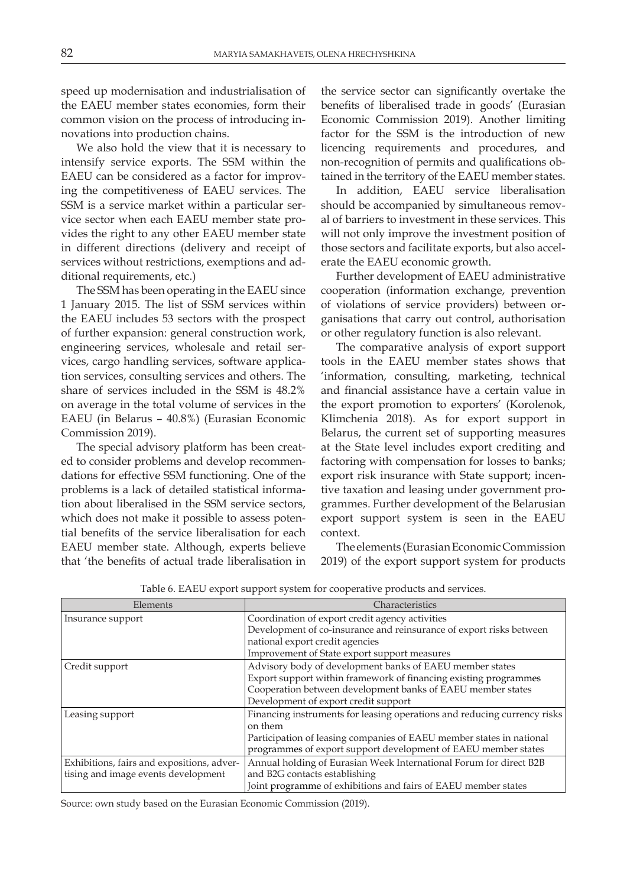speed up modernisation and industrialisation of the EAEU member states economies, form their common vision on the process of introducing innovations into production chains.

We also hold the view that it is necessary to intensify service exports. The SSM within the EAEU can be considered as a factor for improving the competitiveness of EAEU services. The SSM is a service market within a particular service sector when each EAEU member state provides the right to any other EAEU member state in different directions (delivery and receipt of services without restrictions, exemptions and additional requirements, etc.)

The SSM has been operating in the EAEU since 1 January 2015. The list of SSM services within the EAEU includes 53 sectors with the prospect of further expansion: general construction work, engineering services, wholesale and retail services, cargo handling services, software application services, consulting services and others. The share of services included in the SSM is 48.2% on average in the total volume of services in the EAEU (in Belarus – 40.8%) (Eurasian Economic Commission 2019).

The special advisory platform has been created to consider problems and develop recommendations for effective SSM functioning. One of the problems is a lack of detailed statistical information about liberalised in the SSM service sectors, which does not make it possible to assess potential benefits of the service liberalisation for each EAEU member state. Although, experts believe that 'the benefits of actual trade liberalisation in

the service sector can significantly overtake the benefits of liberalised trade in goods' (Eurasian Economic Commission 2019). Another limiting factor for the SSM is the introduction of new licencing requirements and procedures, and non-recognition of permits and qualifications obtained in the territory of the EAEU member states.

In addition, EAEU service liberalisation should be accompanied by simultaneous removal of barriers to investment in these services. This will not only improve the investment position of those sectors and facilitate exports, but also accelerate the EAEU economic growth.

Further development of EAEU administrative cooperation (information exchange, prevention of violations of service providers) between organisations that carry out control, authorisation or other regulatory function is also relevant.

The comparative analysis of export support tools in the EAEU member states shows that 'information, consulting, marketing, technical and financial assistance have a certain value in the export promotion to exporters' (Korolenok, Klimchenia 2018). As for export support in Belarus, the current set of supporting measures at the State level includes export crediting and factoring with compensation for losses to banks; export risk insurance with State support; incentive taxation and leasing under government programmes. Further development of the Belarusian export support system is seen in the EAEU context.

The elements (Eurasian Economic Commission 2019) of the export support system for products

| Elements                                   | Characteristics                                                          |
|--------------------------------------------|--------------------------------------------------------------------------|
| Insurance support                          | Coordination of export credit agency activities                          |
|                                            | Development of co-insurance and reinsurance of export risks between      |
|                                            | national export credit agencies                                          |
|                                            | Improvement of State export support measures                             |
| Credit support                             | Advisory body of development banks of EAEU member states                 |
|                                            | Export support within framework of financing existing programmes         |
|                                            | Cooperation between development banks of EAEU member states              |
|                                            | Development of export credit support                                     |
| Leasing support                            | Financing instruments for leasing operations and reducing currency risks |
|                                            | on them                                                                  |
|                                            | Participation of leasing companies of EAEU member states in national     |
|                                            | programmes of export support development of EAEU member states           |
| Exhibitions, fairs and expositions, adver- | Annual holding of Eurasian Week International Forum for direct B2B       |
| tising and image events development        | and B2G contacts establishing                                            |
|                                            | Joint programme of exhibitions and fairs of EAEU member states           |

Table 6. EAEU export support system for cooperative products and services.

Source: own study based on the Eurasian Economic Commission (2019).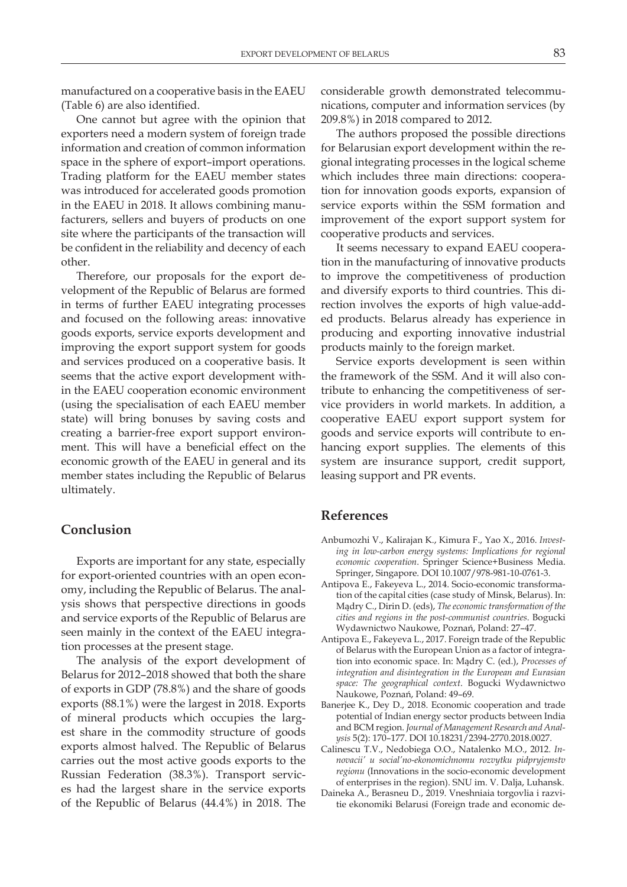manufactured on a cooperative basis in the EAEU (Table 6) are also identified.

One cannot but agree with the opinion that exporters need a modern system of foreign trade information and creation of common information space in the sphere of export–import operations. Trading platform for the EAEU member states was introduced for accelerated goods promotion in the EAEU in 2018. It allows combining manufacturers, sellers and buyers of products on one site where the participants of the transaction will be confident in the reliability and decency of each other.

Therefore, our proposals for the export development of the Republic of Belarus are formed in terms of further EAEU integrating processes and focused on the following areas: innovative goods exports, service exports development and improving the export support system for goods and services produced on a cooperative basis. It seems that the active export development within the EAEU cooperation economic environment (using the specialisation of each EAEU member state) will bring bonuses by saving costs and creating a barrier-free export support environment. This will have a beneficial effect on the economic growth of the EAEU in general and its member states including the Republic of Belarus ultimately.

#### **Conclusion**

Exports are important for any state, especially for export-oriented countries with an open economy, including the Republic of Belarus. The analysis shows that perspective directions in goods and service exports of the Republic of Belarus are seen mainly in the context of the EAEU integration processes at the present stage.

The analysis of the export development of Belarus for 2012–2018 showed that both the share of exports in GDP (78.8%) and the share of goods exports (88.1%) were the largest in 2018. Exports of mineral products which occupies the largest share in the commodity structure of goods exports almost halved. The Republic of Belarus carries out the most active goods exports to the Russian Federation (38.3%). Transport services had the largest share in the service exports of the Republic of Belarus (44.4%) in 2018. The

considerable growth demonstrated telecommunications, computer and information services (by 209.8%) in 2018 compared to 2012.

The authors proposed the possible directions for Belarusian export development within the regional integrating processes in the logical scheme which includes three main directions: cooperation for innovation goods exports, expansion of service exports within the SSM formation and improvement of the export support system for cooperative products and services.

It seems necessary to expand EAEU cooperation in the manufacturing of innovative products to improve the competitiveness of production and diversify exports to third countries. This direction involves the exports of high value-added products. Belarus already has experience in producing and exporting innovative industrial products mainly to the foreign market.

Service exports development is seen within the framework of the SSM. And it will also contribute to enhancing the competitiveness of service providers in world markets. In addition, a cooperative EAEU export support system for goods and service exports will contribute to enhancing export supplies. The elements of this system are insurance support, сredit support, leasing support and PR events.

#### **References**

- Anbumozhi V., Kalirajan K., Kimura F., Yao X., 2016. *Investing in low-carbon energy systems: Implications for regional economic cooperation*. Springer Science+Business Media. Springer, Singapore. DOI 10.1007/978-981-10-0761-3.
- Antipova E., Fakeyeva L., 2014. Socio-economic transformation of the capital cities (case study of Minsk, Belarus). In: Mądry C., Dirin D. (eds), *The economic transformation of the cities and regions in the post-communist countries*. Bogucki Wydawnictwo Naukowe, Poznań, Poland: 27–47.
- Antipova E., Fakeyeva L., 2017. Foreign trade of the Republic of Belarus with the European Union as a factor of integration into economic space. In: Mądry C. (ed.), *Processes of integration and disintegration in the European and Eurasian space: The geographical context*. Bogucki Wydawnictwo Naukowe, Poznań, Poland: 49–69.
- Banerjee K., Dey D., 2018. Economic cooperation and trade potential of Indian energy sector products between India and BCM region. *Journal of Management Research and Analysis* 5(2): 170–177. DOI 10.18231/2394-2770.2018.0027.
- Calinescu T.V., Nedobiega O.O., Natalenko M.O., 2012. *Innovacii' u social'no-ekonomichnomu rozvytku pidpryjemstv regionu* (Innovations in the socio-economic development of enterprises in the region). SNU im. V. Dalja, Luhansk.
- Daineka A., Berasneu D., 2019. Vneshniaia torgovlia i razvitie ekonomiki Belarusi (Foreign trade and economic de-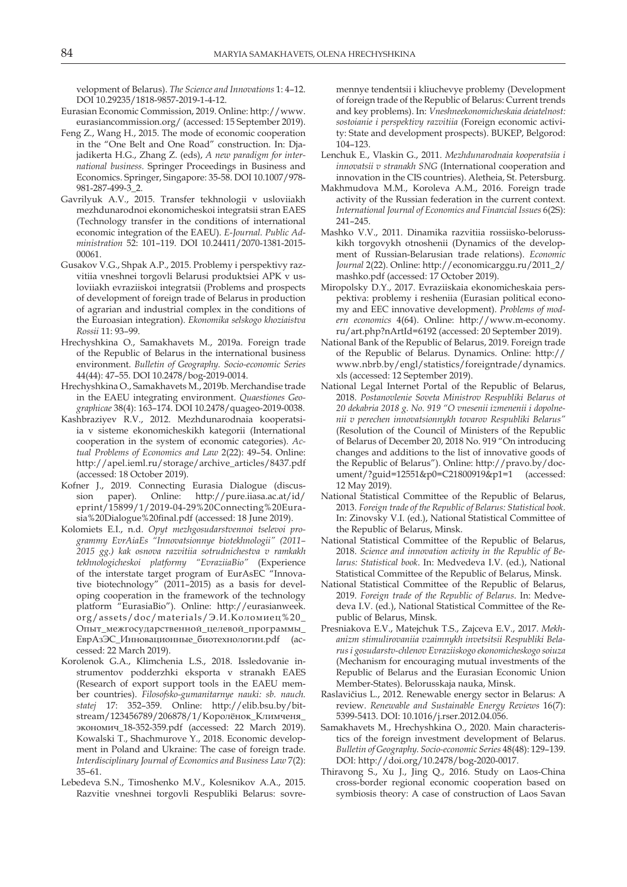velopment of Belarus). *The Science and Innovations* 1: 4–12. DOI 10.29235/1818-9857-2019-1-4-12.

- Eurasian Economic Commission, 2019. Online: http://www. eurasiancommission.org/ (accessed: 15 September 2019).
- Feng Z., Wang H., 2015. The mode of economic cooperation in the "One Belt and One Road" construction. In: Djajadikerta H.G., Zhang Z. (eds), *A new paradigm for international business.* Springer Proceedings in Business and Economics. Springer, Singapore: 35-58. DOI 10.1007/978- 981-287-499-3\_2.
- Gavrilyuk A.V., 2015. Transfer tekhnologii v usloviiakh mezhdunarodnoi ekonomicheskoi integratsii stran EAES (Technology transfer in the conditions of international economic integration of the EAEU). *E-Journal. Public Administration* 52: 101–119. DOI 10.24411/2070-1381-2015- 00061.
- Gusakov V.G., Shpak A.P., 2015. Problemy i perspektivy razvitiia vneshnei torgovli Belarusi produktsiei APK v usloviiakh evraziiskoi integratsii (Problems and prospects of development of foreign trade of Belarus in production of agrarian and industrial complex in the conditions of the Euroasian integration). *Ekonomika selskogo khoziaistva Rossii* 11: 93–99.
- Hrechyshkina O., Samakhavets M., 2019а. Foreign trade of the Republic of Belarus in the international business environment. *Bulletin of Geography. Socio-economic Series* 44(44): 47–55. DOI 10.2478/bog-2019-0014.
- Hrechyshkina O., Samakhavets M., 2019b. Merchandise trade in the EAEU integrating environment. *Quaestiones Geographicae* 38(4): 163–174. DOI 10.2478/quageo-2019-0038.
- Kashbraziyev R.V., 2012. Mezhdunarodnaia kooperatsiia v sisteme ekonomicheskikh kategorii (International cooperation in the system of economic categories). *Actual Problems of Economics and Law* 2(22): 49–54. Online: http://apel.ieml.ru/storage/archive\_articles/8437.pdf (accessed: 18 October 2019).
- Kofner J., 2019. Connecting Eurasia Dialogue (discussion paper). Online: http://pure.iiasa.ac.at/id/ eprint/15899/1/2019-04-29%20Connecting%20Eurasia%20Dialogue%20final.pdf (accessed: 18 June 2019).
- Kolomiets E.I., n.d. *Opyt mezhgosudarstvennoi tselevoi programmy EvrAiaEs "Innovatsionnye biotekhnologii" (2011– 2015 gg.) kak osnova razvitiia sotrudnichestva v ramkakh tekhnologicheskoi platformy "EvraziiaBio"* (Experience of the interstate target program of EurAsEC "Innovative biotechnology" (2011–2015) as a basis for developing cooperation in the framework of the technology platform "EurasiaBio"). Online: http://eurasianweek. org/assets/doc/materials/Э.И.Коломиец%20\_ Опыт\_межгосударственной\_целевой\_программы\_ ЕврАзЭС\_Инновационные\_биотехнологии.pdf (accessed: 22 March 2019).
- Korolenok G.А., Klimchenia L.S., 2018. Issledovanie instrumentov podderzhki eksporta v stranakh EAES (Research of export support tools in the EAEU member countries). *Filosofsko-gumanitarnye nauki: sb. nauch. statej* 17: 352–359. Online: http://elib.bsu.by/bitstream/123456789/206878/1/Королёнок\_Климченя\_ экономич\_18-352-359.pdf (accessed: 22 March 2019). Kowalski T., Shachmurove Y., 2018. Economic development in Poland and Ukraine: The case of foreign trade. *Interdisciplinary Journal of Economics and Business Law* 7(2): 35–61.
- Lebedeva S.N., Timoshenko M.V., Kolesnikov A.A., 2015. Razvitie vneshnei torgovli Respubliki Belarus: sovre-

mennye tendentsii i kliuchevye problemy (Development of foreign trade of the Republic of Belarus: Current trends and key problems). In: *Vneshneekonomicheskaia deiatelnost: sostoianie i perspektivy razvitiia* (Foreign economic activity: State and development prospects). BUKEP, Belgorod: 104–123.

- Lenchuk E., Vlaskin G., 2011. *Mezhdunarodnaia kooperatsiia i innovatsii v stranakh SNG* (International cooperation and innovation in the CIS countries). Aletheia, St. Petersburg.
- Makhmudova M.M., Koroleva A.M., 2016. Foreign trade activity of the Russian federation in the current context. *International Journal of Economics and Financial Issues* 6(2S): 241–245.
- Mashko V.V., 2011. Dinamika razvitiia rossiisko-belorusskikh torgovykh otnoshenii (Dynamics of the development of Russian-Belarusian trade relations). *Economic Journal* 2(22). Online: http://economicarggu.ru/2011\_2/ mashko.pdf (accessed: 17 October 2019).
- Miropolsky D.Y., 2017. Evraziiskaia ekonomicheskaia perspektiva: problemy i resheniia (Eurasian political economy and EEC innovative development). *Problems of modern economics* 4(64). Online: http://www.m-economy. ru/art.php?nArtId=6192 (accessed: 20 September 2019).
- National Bank of the Republic of Belarus, 2019. Foreign trade of the Republic of Belarus. Dynamics. Online: http:// www.nbrb.by/engl/statistics/foreigntrade/dynamics. xls (accessed: 12 September 2019).
- National Legal Internet Portal of the Republic of Belarus, 2018. *Postanovlenie Soveta Ministrov Respubliki Belarus ot 20 dekabria 2018 g. No. 919 "O vnesenii izmenenii i dopolnenii v perechen innovatsionnykh tovarov Respubliki Belarus"* (Resolution of the Council of Ministers of the Republic of Belarus of December 20, 2018 No. 919 "On introducing changes and additions to the list of innovative goods of the Republic of Belarus"). Online: http://pravo.by/document/?guid=12551&p0=C21800919&p1=1 (accessed: 12 May 2019).
- National Statistical Committee of the Republic of Belarus, 2013. *Foreign trade of the Republic of Belarus: Statistical book*. In: Zinovsky V.I. (ed.), National Statistical Committee of the Republic of Belarus, Minsk.
- National Statistical Committee of the Republic of Belarus, 2018. *Science and innovation activity in the Republic of Belarus: Statistical book*. In: Medvedeva I.V. (ed.), National Statistical Committee of the Republic of Belarus, Minsk.
- National Statistical Committee of the Republic of Belarus, 2019. *Foreign trade of the Republic of Belarus*. In: Medvedeva I.V. (ed.), National Statistical Committee of the Republic of Belarus, Minsk.
- Presniakova E.V., Matejchuk T.S., Zajceva E.V., 2017. *Mekhanizm stimulirovaniia vzaimnykh invetsitsii Respubliki Belarus i gosudarstv-chlenov Evraziiskogo ekonomicheskogo soiuza* (Mechanism for encouraging mutual investments of the Republic of Belarus and the Eurasian Economic Union Member-States). Belorusskaja nauka, Minsk.
- Raslavičius L., 2012. Renewable energy sector in Belarus: A review. *Renewable and Sustainable Energy Reviews* 16(7): 5399-5413. DOI: 10.1016/j.rser.2012.04.056.
- Samakhavets M., Hrechyshkina O., 2020. Main characteristics of the foreign investment development of Belarus. *Bulletin of Geography. Socio-economic Series* 48(48): 129–139. DOI: http://doi.org/10.2478/bog-2020-0017.
- Thiravong S., Xu J., Jing Q., 2016. Study on Laos-China cross-border regional economic cooperation based on symbiosis theory: A case of construction of Laos Savan